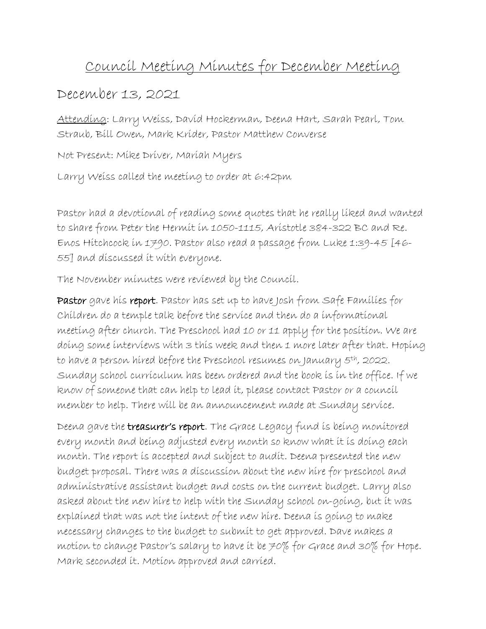## Council Meeting Minutes for December Meeting

## December 13, 2021

Attending: Larry Weiss, David Hockerman, Deena Hart, Sarah Pearl, Tom Straub, Bill Owen, Mark Krider, Pastor Matthew Converse

Not Present: Mike Driver, Mariah Myers

Larry Weiss called the meeting to order at 6:42pm

Pastor had a devotional of reading some quotes that he really liked and wanted to share from Peter the Hermit in 1050-1115, Aristotle 384-322 BC and Re. Enos Hitchcock in 1790. Pastor also read a passage from Luke 1:39-45 [46- 55] and discussed it with everyone.

The November minutes were reviewed by the Council.

Pastor gave his report. Pastor has set up to have Josh from Safe Families for Children do a temple talk before the service and then do a informational meeting after church. The Preschool had 10 or 11 apply for the position. We are doing some interviews with 3 this week and then 1 more later after that. Hoping to have a person hired before the Preschool resumes on January 5th, 2022. Sunday school curriculum has been ordered and the book is in the office. If we know of someone that can help to lead it, please contact Pastor or a council member to help. There will be an announcement made at Sunday service.

Deena gave the treasurer's report. The Grace Legacy fund is being monitored every month and being adjusted every month so know what it is doing each month. The report is accepted and subject to audit. Deena presented the new budget proposal. There was a discussion about the new hire for preschool and administrative assistant budget and costs on the current budget. Larry also asked about the new hire to help with the Sunday school on-going, but it was explained that was not the intent of the new hire. Deena is going to make necessary changes to the budget to submit to get approved. Dave makes a motion to change Pastor's salary to have it be 70% for Grace and 30% for Hope. Mark seconded it. Motion approved and carried.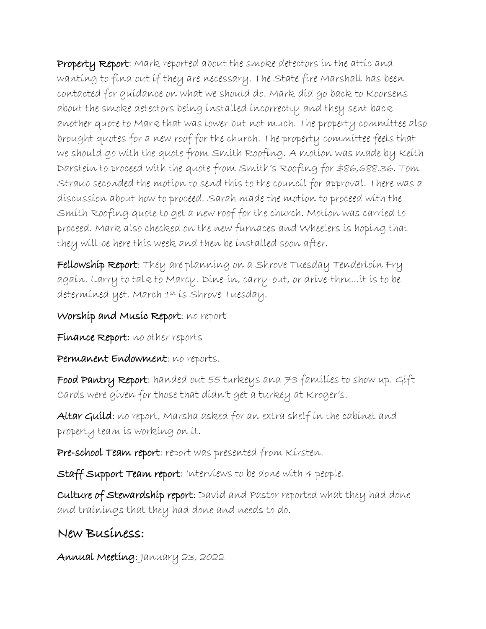Property Report: Mark reported about the smoke detectors in the attic and wanting to find out if they are necessary. The State fire Marshall has been contacted for guidance on what we should do. Mark did go back to Koorsens about the smoke detectors being installed incorrectly and they sent back another quote to Mark that was lower but not much. The property committee also brought quotes for a new roof for the church. The property committee feels that we should go with the quote from Smith Roofing. A motion was made by Keith Darstein to proceed with the quote from Smith's Roofing for \$86,688.36. Tom Straub seconded the motion to send this to the council for approval. There was a discussion about how to proceed. Sarah made the motion to proceed with the Smith Roofing quote to get a new roof for the church. Motion was carried to proceed. Mark also checked on the new furnaces and Wheelers is hoping that they will be here this week and then be installed soon after.

Fellowship Report: They are planning on a Shrove Tuesday Tenderloin Fry again. Larry to talk to Marcy. Dine-in, carry-out, or drive-thru...it is to be determined yet. March 1st is Shrove Tuesday.

Worship and Music Report: no report

Finance Report: no other reports

Permanent Endowment: no reports.

Food Pantry Report: handed out 55 turkeys and 73 families to show up. Gift Cards were given for those that didn't get a turkey at Kroger's.

Altar Guild: no report, Marsha asked for an extra shelf in the cabinet and property team is working on it.

Pre-school Team report: report was presented from Kirsten.

Staff Support Team report: Interviews to be done with 4 people.

Culture of Stewardship report: David and Pastor reported what they had done and trainings that they had done and needs to do.

## New Business:

Annual Meeting: January 23, 2022